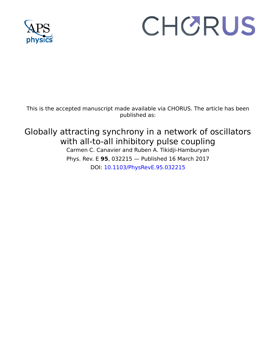

# CHORUS

This is the accepted manuscript made available via CHORUS. The article has been published as:

# Globally attracting synchrony in a network of oscillators with all-to-all inhibitory pulse coupling

Carmen C. Canavier and Ruben A. Tikidji-Hamburyan Phys. Rev. E **95**, 032215 — Published 16 March 2017 DOI: [10.1103/PhysRevE.95.032215](http://dx.doi.org/10.1103/PhysRevE.95.032215)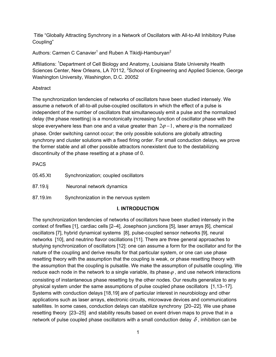Title "Globally Attracting Synchrony in a Network of Oscillators with All-to-All Inhibitory Pulse Coupling"

Authors: Carmen C Canavier<sup>1</sup> and Ruben A Tikidji-Hamburyan<sup>2</sup>

Affiliations: <sup>1</sup>Department of Cell Biology and Anatomy, Louisiana State University Health Sciences Center, New Orleans, LA 70112, <sup>2</sup>School of Engineering and Applied Science, George Washington University, Washington, D.C. 20052

## Abstract

The synchronization tendencies of networks of oscillators have been studied intensely. We assume a network of all-to-all pulse-coupled oscillators in which the effect of a pulse is independent of the number of oscillators that simultaneously emit a pulse and the normalized delay (the phase resetting) is a monotonically increasing function of oscillator phase with the slope everywhere less than one and a value greater than  $2\varphi - 1$ , where  $\varphi$  is the normalized phase. Order switching cannot occur; the only possible solutions are globally attracting synchrony and cluster solutions with a fixed firing order. For small conduction delays, we prove the former stable and all other possible attractors nonexistent due to the destabilizing discontinuity of the phase resetting at a phase of 0.

**PACS** 

| 05.45.Xt | Synchronization; coupled oscillators  |
|----------|---------------------------------------|
| 87.19.li | Neuronal network dynamics             |
| 87.19.lm | Synchronization in the nervous system |

# **I. INTRODUCTION**

The synchronization tendencies of networks of oscillators have been studied intensely in the context of fireflies [1], cardiac cells [2–4], Josephson junctions [5], laser arrays [6], chemical oscillators [7], hybrid dynamical systems [8], pulse-coupled sensor networks [9], neural networks [10], and neutrino flavor oscillations [11]. There are three general approaches to studying synchronization of oscillators [12]: one can assume a form for the oscillator and for the nature of the coupling and derive results for that particular system, or one can use phase resetting theory with the assumption that the coupling is weak, or phase resetting theory with the assumption that the coupling is pulsatile. We make the assumption of pulsatile coupling. We reduce each node in the network to a single variable, its phase  $\varphi$ , and use network interactions consisting of instantaneous phase resetting by the other nodes. Our results generalize to any physical system under the same assumptions of pulse coupled phase oscillators [1,13–17]. Systems with conduction delays [18,19] are of particular interest in neurobiology and other applications such as laser arrays, electronic circuits, microwave devices and communications satellites. In some cases, conduction delays can stabilize synchrony [20–22]. We use phase resetting theory [23–25] and stability results based on event driven maps to prove that in a network of pulse coupled phase oscillators with a small conduction delay  $\delta$ , inhibition can be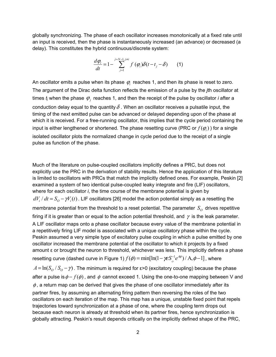globally synchronizing. The phase of each oscillator increases monotonically at a fixed rate until an input is received, then the phase is instantaneously increased (an advance) or decreased (a delay). This constitutes the hybrid continuous/discrete system:

$$
\frac{d\varphi_i}{dt} = 1 - \sum_{j=1}^{j=N-1, j\neq i} f(\varphi_i) \delta(t - t_j - \delta)
$$
 (1)

An oscillator emits a pulse when its phase ϕ*i* reaches 1, and then its phase is reset to zero. The argument of the Dirac delta function reflects the emission of a pulse by the *j*th oscillator at times  $t_j$  when the phase  $\varphi_j$  reaches 1, and then the receipt of the pulse by oscillator *i* after a conduction delay equal to the quantity  $\delta$ . When an oscillator receives a pulsatile input, the timing of the next emitted pulse can be advanced or delayed depending upon of the phase at which it is received. For a free-running oscillator, this implies that the cycle period containing the input is either lengthened or shortened. The phase resetting curve (PRC or  $f(\varphi)$ ) for a single isolated oscillator plots the normalized change in cycle period due to the receipt of a single pulse as function of the phase.

Much of the literature on pulse-coupled oscillators implicitly defines a PRC, but does not explicitly use the PRC in the derivation of stability results. Hence the application of this literature is limited to oscillators with PRCs that match the implicitly defined ones. For example, Peskin [2] examined a system of two identical pulse-coupled leaky integrate and fire (LIF) oscillators, where for each oscillator *i*, the time course of the membrane potential is given by  $dV_i/dt = S_o - \gamma V_i(t)$ . LIF oscillators [26] model the action potential simply as a resetting the membrane potential from the threshold to a reset potential. The parameter  $S<sub>O</sub>$  drives repetitive firing if it is greater than or equal to the action potential threshold, and  $\gamma$  is the leak parameter. A LIF oscillator maps onto a phase oscillator because every value of the membrane potential in a repetitively firing LIF model is associated with a unique oscillatory phase within the cycle. Peskin assumed a very simple type of excitatory pulse coupling in which a pulse emitted by one oscillator increased the membrane potential of the oscillator to which it projects by a fixed amount ε or brought the neuron to threshold, whichever was less. This implicitly defines a phase resetting curve (dashed curve in Figure 1)  $f(\phi)$  =  $\text{min}[\ln(1-\gamma \varepsilon S_o^{-1}e^{A\phi})$  /  $\text{A},\phi\!-\!1]$  , where  $A = \ln(S_0 / S_0 - \gamma)$ . The minimum is required for  $\varepsilon > 0$  (excitatory coupling) because the phase after a pulse is  $\phi - f(\phi)$ , and  $\phi$  cannot exceed 1. Using the one-to-one mapping between V and  $\phi$ , a return map can be derived that gives the phase of one oscillator immediately after its partner fires, by assuming an alternating firing pattern then reversing the roles of the two oscillators on each iteration of the map. This map has a unique, unstable fixed point that repels trajectories toward synchronization at a phase of one, where the coupling term drops out because each neuron is already at threshold when its partner fires, hence synchronization is globally attracting. Peskin's result depends critically on the implicitly defined shape of the PRC,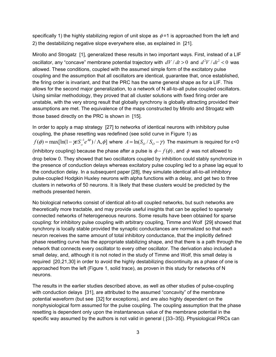specifically 1) the highly stabilizing region of unit slope as  $\phi$  =1 is approached from the left and 2) the destabilizing negative slope everywhere else, as explained in [21].

Mirollo and Strogatz [1], generalized these results in two important ways. First, instead of a LIF oscillator, any "concave" membrane potential trajectory with  $dV/dt > 0$  and  $d^2V/dt^2 < 0$  was allowed. These conditions, coupled with the assumed simple form of the excitatory pulse coupling and the assumption that all oscillators are identical, guarantee that, once established, the firing order is invariant, and that the PRC has the same general shape as for a LIF. This allows for the second major generalization, to a network of N all-to-all pulse coupled oscillators. Using similar methodology, they proved that all cluster solutions with fixed firing order are unstable, with the very strong result that globally synchrony is globally attracting provided their assumptions are met. The equivalence of the maps constructed by Mirollo and Strogatz with those based directly on the PRC is shown in [15].

In order to apply a map strategy [27] to networks of identical neurons with inhibitory pulse coupling, the phase resetting was redefined (see solid curve in Figure 1) as  $f(\phi) = \max[\ln(1 - \chi \epsilon S_o^{-1} e^{4\phi}) / A, \phi]$  where  $A = \ln(S_o / S_o - \gamma)$  The maximum is required for ε<0 (inhibitory coupling) because the phase after a pulse is  $\phi - f(\phi)$ , and  $\phi$  was not allowed to drop below 0. They showed that two oscillators coupled by inhibition could stably synchronize in the presence of conduction delays whereas excitatory pulse coupling led to a phase lag equal to the conduction delay. In a subsequent paper [28], they simulate identical all-to-all inhibitory pulse-coupled Hodgkin Huxley neurons with alpha functions with a delay, and get two to three clusters in networks of 50 neurons. It is likely that these clusters would be predicted by the methods presented herein.

No biological networks consist of identical all-to-all coupled networks, but such networks are theoretically more tractable, and may provide useful insights that can be applied to sparsely connected networks of heterogeneous neurons. Some results have been obtained for sparse coupling: for inhibitory pulse coupling with arbitrary coupling, Timme and Wolf [29] showed that synchrony is locally stable provided the synaptic conductances are normalized so that each neuron receives the same amount of total inhibitory conductance, that the implicitly defined phase resetting curve has the appropriate stabilizing shape, and that there is a path through the network that connects every oscillator to every other oscillator. The derivation also included a small delay, and, although it is not noted in the study of Timme and Wolf, this small delay is required [20,21,30] in order to avoid the highly destabilizing discontinuity as a phase of one is approached from the left (Figure 1, solid trace), as proven in this study for networks of N neurons.

The results in the earlier studies described above, as well as other studies of pulse-coupling with conduction delays [31], are attributed to the assumed "concavity" of the membrane potential waveform (but see [32] for exceptions), and are also highly dependent on the nonphysiological form assumed for the pulse coupling. The coupling assumption that the phase resetting is dependent only upon the instantaneous value of the membrane potential in the specific way assumed by the authors is not valid in general ( [33–35]). Physiological PRCs can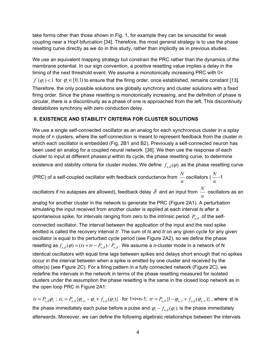take forms other than those shown in Fig. 1, for example they can be sinusoidal for weak coupling near a Hopf bifurcation [34]. Therefore, the most general strategy is to use the phase resetting curve directly as we do in this study, rather than implicitly as in previous studies.

We use an equivalent mapping strategy but constrain the PRC rather than the dynamics of the membrane potential. In our sign convention, a positive resetting value implies a delay in the timing of the next threshold event. We assume a monotonically increasing PRC with 0<  $f^{'}(\varphi_{i})$  <  $1$  for  $\varphi_{i}$  ∈  $[0,1)$  to ensure that the firing order, once established, remains constant [13]. Therefore, the only possible solutions are globally synchrony and cluster solutions with a fixed firing order. Since the phase resetting is monotonically increasing, and the definition of phase is circular, there is a discontinuity as a phase of one is approached from the left. This discontinuity destabilizes synchrony with zero conduction delay.

## **II. EXISTENCE AND STABILITY CRITERIA FOR CLUSTER SOLUTIONS**

We use a single self-connected oscillator as an analog for each synchronous cluster in a splay mode of *n* clusters, where the self-connection is meant to represent feedback from the cluster in which each oscillator is embedded (Fig. 2B1 and B2). Previously a self-connected neuron has been used an analog for a coupled neural network [36]. We then use the response of each cluster to input at different phases  $\varphi$  within its cycle, the phase resetting curve, to determine

existence and stability criteria for cluster modes. We define  $f_{n\delta}(\varphi)$  as the phase resetting curve

(PRC) of a self-coupled oscillator with feedback conductance from  $\frac{N}{\tau}$ *n* oscillators ( *<sup>N</sup> n* -1

oscillators if no autapses are allowed), feedback delay  $\,\delta\,$  and an input from  $\frac{N}{\,}$ *n* oscillators as an

analog for another cluster in the network to generate the PRC (Figure 2A1). A perturbation simulating the input received from another cluster is applied at each interval *ts* after a spontaneous spike, for intervals ranging from zero to the intrinsic period  $P_{n,\delta}$  of the self-

connected oscillator. The interval between the application of the input and the next spike emitted is called the recovery interval *tr*. The sum of *ts* and *tr* on any given cycle for any given oscillator is equal to the perturbed cycle period (see Figure 2A2), so we define the phase resetting as  $f_{n,\delta}(\varphi) = (ts + tr - P_{n,\delta}) / P_{n,\delta}$ . We assume a *n*-cluster mode in a network of N identical oscillators with equal time lags between spikes and delays short enough that no spikes occur in the interval between when a spike is emitted by one cluster and received by the other(s) (see Figure 2C). For a firing pattern in a fully connected network (Figure 2C), we redefine the intervals in the network in terms of the phase resetting measured for isolated clusters under the assumption the phase resetting is the same in the closed loop network as in the open loop PRC in Figure 2A1:

 $ts = P_{n,\delta}\varphi_1$ ;  $ti_i = P_{n,\delta}\{\varphi_{i+1} - \varphi_i + f_{n,\delta}(\varphi_i)\}\$  for 1 < i < n-1;  $tr = P_{n,\delta}\{1 - \varphi_{n-1} + f_{n,\delta}(\varphi_{n-1})\}\$ , where  $\varphi_i$  is the phase immediately each pulse before a pulse and  $\varphi_i - f_{n,\delta}(\varphi_i)$  is the phase immediately afterwards. Moreover, we can define the following algebraic relationships between the intervals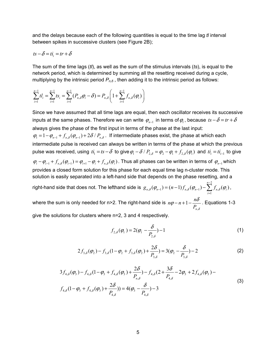and the delays because each of the following quantities is equal to the time lag *tl* interval between spikes in successive clusters (see Figure 2B);

$$
ts - \delta = ti_i = tr + \delta
$$

The sum of the time lags (*tl*), as well as the sum of the stimulus intervals (*ts*), is equal to the network period, which is determined by summing all the resetting received during a cycle, multiplying by the intrinsic period  $P_{n,\delta}$ , then adding it to the intrinsic period as follows:

$$
\sum_{i=1}^{n-1} t l_i = \sum_{i=1}^{n-1} t s_i = \sum_{i=1}^{n-1} (P_{n,\delta} \varphi_i - \delta) = P_{n,\delta} \left( 1 + \sum_{i=1}^{n-1} f_{n,\delta}(\varphi_i) \right)
$$

Since we have assumed that all time lags are equal, then each oscillator receives its successive inputs at the same phases. Therefore we can write  $\varphi_{n-1}$  in terms of  $\varphi_1$ , because  $ts - \delta = tr + \delta$ always gives the phase of the first input in terms of the phase at the last input:  $\varphi_1 = 1 - \varphi_{n-1} + f_{n,\delta}(\varphi_{n-1}) + 2\delta / P_{n,\delta}$ . If intermediate phases exist, the phase at which each intermediate pulse is received can always be written in terms of the phase at which the previous pulse was received, using  $ti_1 = ts - \delta$  to give  $\varphi_1 - \delta / P_{2,\delta} = \varphi_2 - \varphi_1 + f_{2,\delta}(\varphi_1)$  and  $ti_i = ti_{i-1}$  to give  $\varphi_i - \varphi_{i-1} + f_{n,\delta}(\varphi_{i-1}) = \varphi_{i+1} - \varphi_i + f_{n,\delta}(\varphi_i)$ . Thus all phases can be written in terms of  $\varphi_{n-1}$  which provides a closed form solution for this phase for each equal time lag n-cluster mode. This solution is easily separated into a left-hand side that depends on the phase resetting, and a right-hand side that does not. The lefthand side is 2  $\delta(\varphi_{n-1}) = (n-1)J_{n,\delta}(\varphi_{n-1}) - \sum J_{n,\delta}$ 1  $(\varphi_{n-1}) = (n-1) f_{n-2}(\varphi_{n-1}) - \sum f_{n-2}(\varphi_i)$ *n*  $n,\delta \left(\mathcal{Y}_{n-1}\right) = (n-1)J_{n,\delta}\left(\mathcal{Y}_{n-1}\right) - \sum J_{n,\delta}\left(\mathcal{Y}_{n}\right)$ *i*  $g_{n,\delta}(\varphi_{n-1}) = (n-1)f_{n,\delta}(\varphi_{n-1}) - \sum f_{n,\delta}(\varphi_n)$ −  $_{-1}$ ) –  $(n-1)$ J<sub>n,δ</sub>  $(\varphi_{n-1})$  $= (n-1) f_{n,\delta}(\varphi_{n-1}) - \sum_{i=1} f_{n,\delta}(\varphi_i),$ 

where the sum is only needed for n>2. The right-hand side is , 1 *n*  $n\varphi - n + 1 - \frac{n}{n}$  $P_{n,\delta}$  $\alpha \varphi - n + 1 - \frac{n \delta}{n}$ . Equations 1-3

give the solutions for clusters where n=2, 3 and 4 respectively.

$$
f_{2,\delta}(\varphi_1) = 2(\varphi_1 - \frac{\delta}{P_{2,\delta}}) - 1 \tag{1}
$$

$$
2f_{3,\delta}(\varphi_2) - f_{3,\delta}(1 - \varphi_2 + f_{3,\delta}(\varphi_2) + \frac{2\delta}{P_{3,\delta}}) = 3(\varphi_2 - \frac{\delta}{P_{3,\delta}}) - 2
$$
 (2)

$$
3f_{4,\delta}(\varphi_3) - f_{4,\delta}(1-\varphi_3 + f_{4,\delta}(\varphi_3) + \frac{2\delta}{P_{n,\delta}}) - f_{4,\delta}(2 + \frac{3\delta}{P_{4,\delta}} - 2\varphi_3 + 2f_{4,\delta}(\varphi_3) - f_{4,\delta}(1-\varphi_3 + f_{4,\delta}(\varphi_3) + \frac{2\delta}{P_{4,\delta}})) = 4(\varphi_3 - \frac{\delta}{P_{4,\delta}}) - 3
$$
\n(3)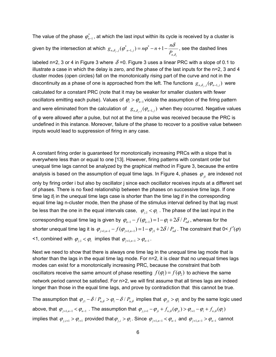The value of the phase  $\varphi_{n-1}^*$ , at which the last input within its cycle is received by a cluster is given by the intersection at which  $\vert g_{n,\delta_i,j}(\phi^*_{-n-1,j})$  =  $n\phi^*$  $_{n,\delta_j,j}(\varphi^*_{n-1,j}) = n\varphi^* - n + 1 - \frac{n\epsilon_j}{P_{n,j}}$ *n*  $g_{n,\delta_j,j}(\varphi^*_{n-1,j}) = n\varphi^* - n + 1 - \frac{n\delta}{P_{n,\delta}}$  $(\varphi^*_{n-1,j}) = n\varphi^* - n + 1 - \frac{n\delta}{D}$ , see the dashed lines

*j*

labeled n=2, 3 or 4 in Figure 3 where  $\delta$  =0. Figure 3 uses a linear PRC with a slope of 0.1 to illustrate a case in which the delay is zero, and the phase of the last inputs for the n=2, 3 and 4 cluster modes (open circles) fall on the monotonically rising part of the curve and not in the discontinuity as a phase of one is approached from the left. The functions  $g_{n,\delta_{i},j}(\varphi_{n-1,j})$  were calculated for a constant PRC (note that it may be weaker for smaller clusters with fewer oscillators emitting each pulse). Values of  $\varphi_i > \varphi_{n-1}$  violate the assumption of the firing pattern and were eliminated from the calculation of  $g_{n,\delta_i,j}(\varphi_{n-1,j})$  when they occurred. Negative values of φ were allowed after a pulse, but not at the time a pulse was received because the PRC is undefined in this instance. Moreover, failure of the phase to recover to a positive value between inputs would lead to suppression of firing in any case.

A constant firing order is guaranteed for monotonically increasing PRCs with a slope that is everywhere less than or equal to one [13]. However, firing patterns with constant order but unequal time lags cannot be analyzed by the graphical method in Figure 3, because the entire analysis is based on the assumption of equal time lags. In Figure 4, phases  $\varphi_{ii}$  are indexed not

only by firing order i but also by oscillator j since each oscillator receives inputs at a different set of phases. There is no fixed relationship between the phases on successive time lags. If one time lag *tlj* in the unequal time lags case is shorter than the time lag *tl* in the corresponding equal time lag n-cluster mode, then the phase of the stimulus interval defined by that lag must be less than the one in the equal intervals case,  $\varphi_{i,1} < \varphi_{i}$ . The phase of the last input in the corresponding equal time lag is given by  $\varphi_{n-1} - f(\varphi_{n-1}) = 1 - \varphi_1 + 2\delta / P_{n\delta}$ , whereas for the shorter unequal time lag it is  $\varphi_{j+1,n-1} - f(\varphi_{j+1,n-1}) = 1 - \varphi_{j1} + 2\delta / P_{n\delta}$ . The constraint that 0<  $f'(\varphi)$ <1, combined with  $\varphi_{i,1} < \varphi_1$  implies that  $\varphi_{i+1,n-1} > \varphi_{n-1}$ .

Next we need to show that there is always one time lag in the unequal time lag mode that is shorter than the lags in the equal time lag mode. For  $n=2$ , it is clear that no unequal times lags modes can exist for a monotonically increasing PRC, because the constraint that both oscillators receive the same amount of phase resetting  $f(\phi_1) = f(\phi_2)$  to achieve the same network period cannot be satisfied. For n>2, we will first assume that all times lags are indeed longer than those in the equal time lags, and prove by contradiction that this cannot be true.

The assumption that  $\varphi_{i1} - \delta / P_{n,\delta} > \varphi_1 - \delta / P_{n,\delta}$  implies that  $\varphi_{i1} > \varphi_1$  and by the same logic used above, that  $\varphi_{j+1,n-1} < \varphi_{n-1}$ . The assumption that  $\varphi_{j,i+1} - \varphi_{ji} + f_{n,\delta}(\varphi_{ji}) > \varphi_{i+1} - \varphi_i + f_{n,\delta}(\varphi_i)$ implies that  $\varphi_{j,i+1} > \varphi_{i+1}$  provided that  $\varphi_{j,i} > \varphi_i$ . Since  $\varphi_{j+1,n-1} < \varphi_{n-1}$  and  $\varphi_{j+1,n-1} > \varphi_{n-1}$  cannot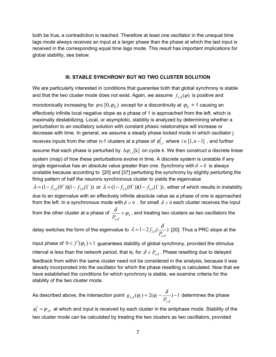both be true, a contradiction is reached. Therefore at least one oscillator in the unequal time lags mode always receives an input at a larger phase than the phase at which the last input is received in the corresponding equal time lags mode. This result has important implications for global stability, see below.

#### **III. STABLE SYNCHRONY BUT NO TWO CLUSTER SOLUTION**

We are particularly interested in conditions that guarantee both that global synchrony is stable and that the two cluster mode does not exist. Again, we assume  $f_{2,\delta}(\varphi)$  is positive and

monotonically increasing for  $\varphi \in [0, \varphi_D)$  except for a discontinuity at  $\varphi_D$  = 1 causing an effectively infinite local negative slope as a phase of 1 is approached from the left, which is maximally destabilizing. Local, or asymptotic, stability is analyzed by determining whether a perturbation to an oscillatory solution with constant phasic relationships will increase or decrease with time. In general, we assume a steady phase locked mode in which oscillator j receives inputs from the other n-1 clusters at a phase of  $\varphi_i^*$ , where  $i \in [1, n-1]$ , and further assume that each phase is perturbed by  $\Delta \varphi_{i,j}[k]$  on cycle *k*. We then construct a discrete linear system (map) of how these perturbations evolve in time. A discrete system is unstable if any single eigenvalue has an absolute value greater than one. Synchrony with  $\delta = 0$  is always unstable because according to [20] and [37] perturbing the synchrony by slightly perturbing the firing pattern of half the neurons synchronous cluster to yields the eigenvalue  $\lambda = (1 - f_{2,0}(0^+))(1 - f_{2,0}(1^-))$  or  $\lambda = (1 - f_{2,0}(0^+))(1 - f_{2,0}(1^-))$ , either of which results in instability due to an eigenvalue with an effectively infinite absolute value as a phase of one is approached from the left. In a synchronous mode with  $\delta > 0$ , for small  $\delta > 0$  each cluster receives the input from the other cluster at a phase of  $\overline{P_{n,\delta}}$  –  $\varphi_S$  $\frac{\delta}{\delta_{\rm obs}}$  =  $\phi_{\rm s}$  , and treating two clusters as two oscillators the

delay switches the form of the eigenvalue to  $\,\lambda\!=\!1\!-\!2f_{2,0}\,$ ,  $1 - 2 f_{2,0}(\frac{6}{2})$  $\lambda$  = 1 –  $2f_{2,0}(\dfrac{\delta}{P_{n,\delta}})$  [20]. Thus a PRC slope at the

input phase of  $0 < f'(\varphi_s) < 1$  guarantees stability of global synchrony, provided the stimulus interval is less than the network period, that is, for  $\delta < P_{n,\delta}$ . Phase resetting due to delayed feedback from within the same cluster need not be considered in the analysis, because it was already incorporated into the oscillator for which the phase resetting is calculated. Now that we have established the conditions for which synchrony is stable, we examine criteria for the stability of the two cluster mode.

As described above, the intersection point  $g_{2,\delta}(\pmb{\varphi}_\text{l})$  =  $2 (\pmb{\varphi}_\text{l}$  $g_{2,\delta}(\varphi_1) = 2(\varphi_1 - \frac{\sigma}{P_{2,\delta}}) - 1$  $(\varphi_1) = 2(\varphi_1 - \frac{\delta}{\delta} - 1)$  determines the phase

 $\varphi_1^* = \varphi_{AP}$  at which and input is received by each cluster in the antiphase mode. Stability of the two cluster mode can be calculated by treating the two clusters as two oscillators, provided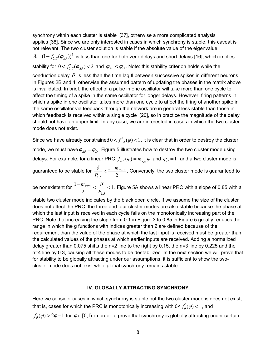synchrony within each cluster is stable [37], otherwise a more complicated analysis applies [38]. Since we are only interested in cases in which synchrony is stable, this caveat is not relevant. The two cluster solution is stable if the absolute value of the eigenvalue  $\lambda$  =  $(1-f_{2,\delta}(\pmb{\varphi}_{\rm\scriptscriptstyle{AP}}))^2$  is less than one for both zero delays and short delays [16], which implies stability for  $0 < f'_{2,\delta}(\varphi_{_{AP}})$  < 2 and  $\varphi_{_{AP}}$  <  $\varphi_{_{D}}$ . Note: this stability criterion holds while the conduction delay  $\delta$  is less than the time lag tl between successive spikes in different neurons in Figures 2B and 4, otherwise the assumed pattern of updating the phases in the matrix above is invalidated. In brief, the effect of a pulse in one oscillator will take more than one cycle to affect the timing of a spike in the same oscillator for longer delays. However, firing patterns in which a spike in one oscillator takes more than one cycle to affect the firing of another spike in the same oscillator via feedback through the network are in general less stable than those in which feedback is received within a single cycle [20], so in practice the magnitude of the delay should not have an upper limit. In any case, we are interested in cases in which the two cluster mode does not exist.

Since we have already constrained  $0 < f'_{n,\delta}(\varphi) < 1$ , it is clear that in order to destroy the cluster mode, we must have  $\varphi_{AP} = \varphi_D$ . Figure 5 illustrates how to destroy the two cluster mode using delays. For example, for a linear PRC,  $f_{2,\delta}(\varphi) = m_{\text{per}} \varphi$  and  $\varphi_D = 1$ , and a two cluster mode is guaranteed to be stable for 2, 1 2  $m_{PRC}$  $P_{2,\delta}$  $\frac{\delta}{\delta} < \frac{1-m_{PRC}}{2}$  . Conversely, the two cluster mode is guaranteed to  $\frac{1-m_{PRC}}{2} < \frac{\delta}{2} < 1$  $m$ <sub>PRC</sub>  $\frac{-m_{PRC}}{2}$  <  $\frac{\delta}{\delta}$  < 1. Figure 5A shows a linear PRC with a slope of 0.85 with a

be nonexistent for 2, 2  $P_{2,\delta}$ 

stable two cluster mode indicates by the black open circle. If we assume the size of the cluster does not affect the PRC, the three and four cluster modes are also stable because the phase at which the last input is received in each cycle falls on the monotonically increasing part of the PRC. Note that increasing the slope from 0.1 in Figure 3 to 0.85 in Figure 5 greatly reduces the range in which the g functions with indices greater than 2 are defined because of the requirement than the value of the phase at which the last input is received must be greater than the calculated values of the phases at which earlier inputs are received. Adding a normalized delay greater than 0.075 shifts the n=2 line to the right by 0.15, the n=3 line by 0.225 and the n=4 line by 0.3, causing all these modes to be destabilized. In the next section we will prove that for stability to be globally attracting under our assumptions, it is sufficient to show the twocluster mode does not exist while global synchrony remains stable.

#### **IV. GLOBALLY ATTRACTING SYNCHRONY**

Here we consider cases in which synchrony is stable but the two cluster mode is does not exist, that is, cases for which the PRC is monotonically increasing with  $0 < f'_{\delta}(\varphi) < 1$ , and

 $f_{\delta}(\varphi)$  > 2 $\varphi$  -1 for  $\varphi \in [0,1)$  in order to prove that synchrony is globally attracting under certain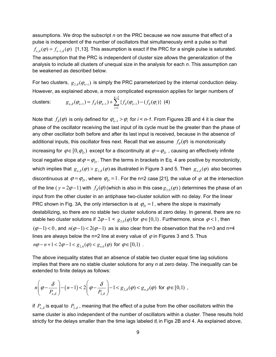assumptions. We drop the subscript *n* on the PRC because we now assume that effect of a pulse is independent of the number of oscillators that simultaneously emit a pulse so that  $f_{n,\delta}(\varphi) = f_{n-\delta}(\varphi)$  [1,13]. This assumption is exact if the PRC for a single pulse is saturated. The assumption that the PRC is independent of cluster size allows the generalization of the analysis to include all clusters of unequal size in the analysis for each *n*. This assumption can be weakened as described below.

For two clusters,  $g_{2,\delta}(\varphi_{n-1})$  is simply the PRC parameterized by the internal conduction delay. However, as explained above, a more complicated expression applies for larger numbers of

clusters: 
$$
g_{n,\delta}(\varphi_{n-1}) = f_{\delta}(\varphi_{n-1}) + \sum_{i=1}^{n-2} \{f_{\delta}(\varphi_{n-1}) - (f_{\delta}(\varphi_i))\} (4)
$$

Note that  $f_s(\varphi)$  is only defined for  $\varphi_{n-1} > \varphi_i$  for  $i \leq n-1$ . From Figures 2B and 4 it is clear the phase of the oscillator receiving the last input of its cycle must be the greater than the phase of any other oscillator both before and after its last input is received, because in the absence of additional inputs, this oscillator fires next. Recall that we assume  $f_{\delta}(\varphi)$  is monotonically increasing for  $\varphi \in [0, \varphi_D)$  except for a discontinuity at  $\varphi = \varphi_D$ , causing an effectively infinite local negative slope at  $\varphi = \varphi_D$ . Then the terms in brackets in Eq. 4 are positive by monotonicity, which implies that  $g_{n\delta}(\varphi) > g_{2\delta}(\varphi)$  as illustrated in Figure 3 and 5. Then  $g_{n\delta}(\varphi)$  also becomes discontinuous at  $\varphi = \varphi_D$ , where  $\varphi_D = 1$ . For the n=2 case [21], the value of  $\varphi$  at the intersection of the line ( $y = 2\varphi - 1$ ) with  $f_{\delta}(\varphi)$  (which is also in this case  $g_{2,0}(\varphi)$ ) determines the phase of an input from the other cluster in an antiphase two-cluster solution with no delay. For the linear PRC shown in Fig. 3A, the only intersection is at  $\varphi$ <sub>*D*</sub> = 1, where the slope is maximally destabilizing, so there are no stable two cluster solutions at zero delay. In general, there are no stable two cluster solutions if  $2\varphi - 1 < g_{2,0}(\varphi)$  for  $\varphi \in [0,1)$ . Furthermore, since  $\varphi < 1$ , then  $(\varphi-1)$  < 0, and  $n(\varphi-1)$  < 2( $\varphi-1$ ) as is also clear from the observation that the n=3 and n=4 lines are always below the n=2 line at every value of  $\varphi$  in Figures 3 and 5. Thus  $n\varphi - n + 1 < 2\varphi - 1 < g_{2,0}(\varphi) < g_{n,0}(\varphi)$  for  $\varphi \in [0,1)$ .

The above inequality states that an absence of stable two cluster equal time lag solutions implies that there are no stable cluster solutions for any *n* at zero delay. The inequality can be extended to finite delays as follows:

$$
n\left(\varphi-\frac{\delta}{P_{n,\delta}}\right)-(n-1)<2\left(\varphi-\frac{\delta}{P_{2,\delta}}\right)-1
$$

if  $P_{n,\delta}$  is equal to  $P_{2,\delta}$ , meaning that the effect of a pulse from the other oscillators within the same cluster is also independent of the number of oscillators within a cluster. These results hold strictly for the delays smaller than the time lags labeled *tli* in Figs 2B and 4. As explained above,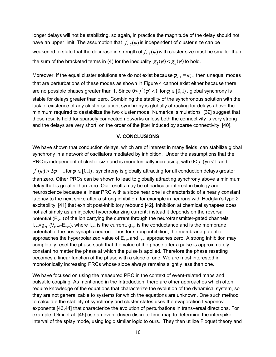longer delays will not be stabilizing, so again, in practice the magnitude of the delay should not have an upper limit. The assumption that  $f_{n,\delta}(\varphi)$  is independent of cluster size can be weakened to state that the decrease in strength of  $f_{n,\delta}(\varphi)$  with cluster size must be smaller than the sum of the bracketed terms in (4) for the inequality  $g_2(\varphi) < g_n(\varphi)$  to hold.

Moreover, if the equal cluster solutions are do not exist because  $\varphi_{n-1} = \varphi_{D}$ , then unequal modes that are perturbations of these modes as shown in Figure 4 cannot exist either because there are no possible phases greater than 1. Since  $0 < f'(\varphi) < 1$  for  $\varphi \in [0,1)$ , global synchrony is stable for delays greater than zero. Combining the stability of the synchronous solution with the lack of existence of any cluster solution, synchrony is globally attracting for delays above the minimum required to destabilize the two cluster mode. Numerical simulations [39] suggest that these results hold for sparsely connected networks unless both the connectivity is very strong and the delays are very short, on the order of the jitter induced by sparse connectivity [40].

#### **V. CONCLUSIONS**

We have shown that conduction delays, which are of interest in many fields, can stabilize global synchrony in a network of oscillators mediated by inhibition. Under the assumptions that the PRC is independent of cluster size and is monotonically increasing, with  $0 < f'(\varphi) < 1$  and

 $f(\varphi)$  > 2 $\varphi$  −1 for  $\varphi$  ∈ [0,1), synchrony is globally attracting for all conduction delays greater than zero. Other PRCs can be shown to lead to globally attracting synchrony above a minimum delay that is greater than zero. Our results may be of particular interest in biology and neuroscience because a linear PRC with a slope near one is characteristic of a nearly constant latency to the next spike after a strong inhibition, for example in neurons with Hodgkin's type 2 excitability [41] that exhibit post-inhibitory rebound [42]. Inhibition at chemical synapses does not act simply as an injected hyperpolarizing current; instead it depends on the reversal potential  $(E_{syn})$  of the ion carrying the current through the neurotransmitter-gated channels I<sub>syn</sub>=g<sub>syn</sub>(V<sub>post</sub>-E<sub>syn</sub>), where I<sub>syn</sub> is the current, g<sub>syn</sub> is the conductance and is the membrane potential of the postsynaptic neuron. Thus for strong inhibition, the membrane potential approaches the hyperpolarized value of  $E_{syn}$  and  $I_{syn}$  approaches zero. A strong inhibition may completely reset the phase such that the value of the phase after a pulse is approximately constant no matter the phase at which the pulse is applied. Therefore the phase resetting becomes a linear function of the phase with a slope of one. We are most interested in monotonically increasing PRCs whose slope always remains slightly less than one.

We have focused on using the measured PRC in the context of event-related maps and pulsatile coupling. As mentioned in the Introduction, there are other approaches which often require knowledge of the equations that characterize the evolution of the dynamical system, so they are not generalizable to systems for which the equations are unknown. One such method to calculate the stability of synchrony and cluster states uses the evaporation Lyaponov exponents [43,44] that characterize the evolution of perturbations in transversal directions. For example, Olmi et al [45] use an event-driven discrete-time map to determine the interspike interval of the splay mode, using logic similar logic to ours. They then utilize Floquet theory and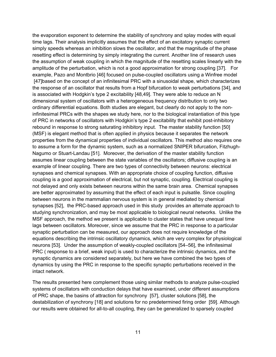the evaporation exponent to determine the stability of synchrony and splay modes with equal time lags. Their analysis implicitly assumes that the effect of an excitatory synaptic current simply speeds whereas an inhibition slows the oscillator, and that the magnitude of the phase resetting effect is determining by simply integrating the current. Another line of research uses the assumption of weak coupling in which the magnitude of the resetting scales linearly with the amplitude of the perturbation, which is not a good approximation for strong coupling [37]. For example, Pazo and Montbrio [46] focused on pulse-coupled oscillators using a Winfree model [47]based on the concept of an infinitesimal PRC with a sinusoidal shape, which characterizes the response of an oscillator that results from a Hopf bifurcation to weak perturbations [34], and is associated with Hodgkin's type 2 excitability [48,49]. They were able to reduce an N dimensional system of oscillators with a heterogeneous frequency distribution to only two ordinary differential equations. Both studies are elegant, but clearly do not apply to the noninfinitesimal PRCs with the shapes we study here, nor to the biological instantiation of this type of PRC in networks of oscillators with Hodgkin's type 2 excitability that exhibit post-inhibitory rebound in response to strong saturating inhibitory input. The master stability function [50] (MSF) is elegant method that is often applied in physics because it separates the network properties from the dynamical properties of individual oscillators. This method also requires one to assume a form for the dynamic system, such as a normalized SNIPER bifurcation, Fitzhugh-Nagumo or Stuart-Landau [51]. Moreover, the derivation of the master stability function assumes linear coupling between the state variables of the oscillators; diffusive coupling is an example of linear coupling. There are two types of connectivity between neurons: electrical synapses and chemical synapses. With an appropriate choice of coupling function, diffusive coupling is a good approximation of electrical, but not synaptic, coupling. Electrical coupling is not delayed and only exists between neurons within the same brain area. Chemical synapses are better approximated by assuming that the effect of each input is pulsatile. Since coupling between neurons in the mammalian nervous system is in general mediated by chemical synapses [52], the PRC-based approach used in this study provides an alternate approach to studying synchronization, and may be most applicable to biological neural networks. Unlike the MSF approach, the method we present is applicable to cluster states that have unequal time lags between oscillators. Moreover, since we assume that the PRC in response to a particular synaptic perturbation can be measured, our approach does not require knowledge of the equations describing the intrinsic oscillatory dynamics, which are very complex for physiological neurons [53]. Under the assumption of weakly-coupled oscillators [54–56], the infinitesimal PRC ( response to a brief, weak input) is used to characterize the intrinsic dynamics, and the synaptic dynamics are considered separately, but here we have combined the two types of dynamics by using the PRC in response to the specific synaptic perturbations received in the intact network.

The results presented here complement those using similar methods to analyze pulse-coupled systems of oscillators with conduction delays that have examined, under different assumptions of PRC shape, the basins of attraction for synchrony [57], cluster solutions [58], the destabilization of synchrony [18] and solutions for no predetermined firing order [59]. Although our results were obtained for all-to-all coupling, they can be generalized to sparsely coupled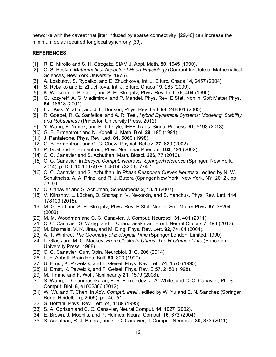networks with the caveat that jitter induced by sparse connectivity [29,40] can increase the minimum delay required for global synchrony [39].

#### **REFERENCES**

- [1] R. E. Mirollo and S. H. Strogatz, SIAM J. Appl. Math. **50**, 1645 (1990).
- [2] C. S. Peskin, *Mathematical Aspects of Heart Physiology* (Courant Institute of Mathematical Sciences, New York University, 1975).
- [3] A. Loskutov, S. Rybalko, and E. Zhuchkova, Int. J. Bifurc. Chaos **14**, 2457 (2004).
- [4] S. Rybalko and E. Zhuchkova, Int. J. Bifurc. Chaos **19**, 263 (2009).
- [5] K. Wiesenfeld, P. Colet, and S. H. Strogatz, Phys. Rev. Lett. **76**, 404 (1996).
- [6] G. Kozyreff, A. G. Vladimirov, and P. Mandel, Phys. Rev. E Stat. Nonlin. Soft Matter Phys. **64**, 16613 (2001).
- [7] I. Z. Kiss, Y. Zhai, and J. L. Hudson, Phys. Rev. Lett. **94**, 248301 (2005).
- [8] R. Goebel, R. G. Sanfelice, and A. R. Teel, *Hybrid Dynamical Systems: Modeling, Stability, and Robustness* (Princeton University Press, 2012).
- [9] Y. Wang, F. Nunez, and F. J. Doyle, IEEE Trans. Signal Process. **61**, 5193 (2013).
- [10] G. B. Ermentrout and N. Kopell, J. Math. Biol. **29**, 195 (1991).
- [11] J. Pantaleone, Phys. Rev. Lett. **81**, 5060 (1998).
- [12] G. B. Ermentrout and C. C. Chow, Physiol. Behav. **77**, 629 (2002).
- [13] P. Goel and B. Ermentrout, Phys. Nonlinear Phenom. **163**, 191 (2002).
- [14] C. C. Canavier and S. Achuthan, Math. Biosci. **226**, 77 (2010).
- [15] C. C. Canavier, in *Encycl. Comput. Neurosci. SpringerReference* (Springer, New York, 2014), p. DOI 10.1007/978-1-4614-7320-6\_774-1.
- [16] C. C. Canavier and S. Achuthan, in *Phase Response Curves Neurosci.*, edited by N. W. Schultheiss, A. A. Prinz, and R. J. Butera (Springer New York, New York, NY, 2012), pp. 73–91.
- [17] C. Canavier and S. Achuthan, Scholarpedia **2**, 1331 (2007).
- [18] V. Klinshov, L. Lücken, D. Shchapin, V. Nekorkin, and S. Yanchuk, Phys. Rev. Lett. **114**, 178103 (2015).
- [19] M. G. Earl and S. H. Strogatz, Phys. Rev. E Stat. Nonlin. Soft Matter Phys. **67**, 36204 (2003).
- [20] M. M. Woodman and C. C. Canavier, J. Comput. Neurosci. **31**, 401 (2011).
- [21] C. C. Canavier, S. Wang, and L. Chandrasekaran, Front. Neural Circuits **7**, 194 (2013).
- [22] M. Dhamala, V. K. Jirsa, and M. Ding, Phys. Rev. Lett. **92**, 74104 (2004).
- [23] A. T. Winfree, *The Geometry of Biological Time* (Springer London, Limited, 1990).
- [24] L. Glass and M. C. Mackey, *From Clocks to Chaos: The Rhythms of Life* (Princeton University Press, 1988).
- [25] C. C. Canavier, Curr. Opin. Neurobiol. **31C**, 206 (2014).
- [26] L. F. Abbott, Brain Res. Bull. **50**, 303 (1999).
- [27] U. Ernst, K. Pawelzik, and T. Geisel, Phys. Rev. Lett. **74**, 1570 (1995).
- [28] U. Ernst, K. Pawelzik, and T. Geisel, Phys. Rev. E **57**, 2150 (1998).
- [29] M. Timme and F. Wolf, Nonlinearity **21**, 1579 (2008).
- [30] S. Wang, L. Chandrasekaran, F. R. Fernandez, J. A. White, and C. C. Canavier, PLoS Comput. Biol. **8**, e1002306 (2012).
- [31] W. Wu and T. Chen, in *Adv. Comput. Intell.*, edited by W. Yu and E. N. Sanchez (Springer Berlin Heidelberg, 2009), pp. 45–51.
- [32] S. Bottani, Phys. Rev. Lett. **74**, 4189 (1995).
- [33] S. A. Oprisan and C. C. Canavier, Neural Comput. **14**, 1027 (2002).
- [34] E. Brown, J. Moehlis, and P. Holmes, Neural Comput. **16**, 673 (2004).
- [35] S. Achuthan, R. J. Butera, and C. C. Canavier, J. Comput. Neurosci. **30**, 373 (2011).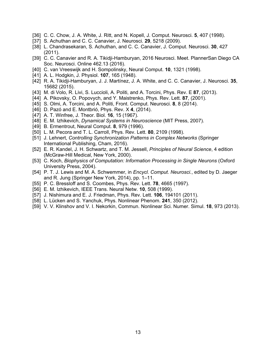- [36] C. C. Chow, J. A. White, J. Ritt, and N. Kopell, J. Comput. Neurosci. **5**, 407 (1998).
- [37] S. Achuthan and C. C. Canavier, J. Neurosci. **29**, 5218 (2009).
- [38] L. Chandrasekaran, S. Achuthan, and C. C. Canavier, J. Comput. Neurosci. **30**, 427 (2011).
- [39] C. C. Canavier and R. A. Tikidji-Hamburyan, 2016 Neurosci. Meet. PlannerSan Diego CA Soc. Neurosci. Online 462.13 (2016).
- [40] C. van Vreeswijk and H. Sompolinsky, Neural Comput. **10**, 1321 (1998).
- [41] A. L. Hodgkin, J. Physiol. **107**, 165 (1948).
- [42] R. A. Tikidji-Hamburyan, J. J. Martínez, J. A. White, and C. C. Canavier, J. Neurosci. **35**, 15682 (2015).
- [43] M. di Volo, R. Livi, S. Luccioli, A. Politi, and A. Torcini, Phys. Rev. E **87**, (2013).
- [44] A. Pikovsky, O. Popovych, and Y. Maistrenko, Phys. Rev. Lett. **87**, (2001).
- [45] S. Olmi, A. Torcini, and A. Politi, Front. Comput. Neurosci. **8**, 8 (2014).
- [46] D. Pazó and E. Montbrió, Phys. Rev. X **4**, (2014).
- [47] A. T. Winfree, J. Theor. Biol. **16**, 15 (1967).
- [48] E. M. Izhikevich, *Dynamical Systems in Neuroscience* (MIT Press, 2007).
- [49] B. Ermentrout, Neural Comput. **8**, 979 (1996).
- [50] L. M. Pecora and T. L. Carroll, Phys. Rev. Lett. **80**, 2109 (1998).
- [51] J. Lehnert, *Controlling Synchronization Patterns in Complex Networks* (Springer International Publishing, Cham, 2016).
- [52] E. R. Kandel, J. H. Schwartz, and T. M. Jessell, *Principles of Neural Science*, 4 edition (McGraw-Hill Medical, New York, 2000).
- [53] C. Koch, *Biophysics of Computation: Information Processing in Single Neurons* (Oxford University Press, 2004).
- [54] P. T. J. Lewis and M. A. Schwemmer, in *Encycl. Comput. Neurosci.*, edited by D. Jaeger and R. Jung (Springer New York, 2014), pp. 1–11.
- [55] P. C. Bressloff and S. Coombes, Phys. Rev. Lett. **78**, 4665 (1997).
- [56] E. M. Izhikevich, IEEE Trans. Neural Netw. **10**, 508 (1999).
- [57] J. Nishimura and E. J. Friedman, Phys. Rev. Lett. **106**, 194101 (2011).
- [58] L. Lücken and S. Yanchuk, Phys. Nonlinear Phenom. **241**, 350 (2012).
- [59] V. V. Klinshov and V. I. Nekorkin, Commun. Nonlinear Sci. Numer. Simul. **18**, 973 (2013).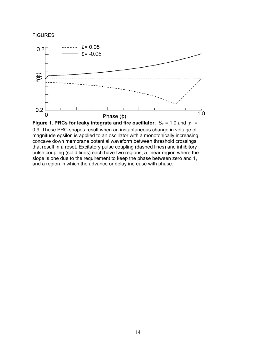#### **FIGURES**





0.9. These PRC shapes result when an instantaneous change in voltage of magnitude epsilon is applied to an oscillator with a monotonically increasing concave down membrane potential waveform between threshold crossings that result in a reset. Excitatory pulse coupling (dashed lines) and inhibitory pulse coupling (solid lines) each have two regions, a linear region where the slope is one due to the requirement to keep the phase between zero and 1, and a region in which the advance or delay increase with phase.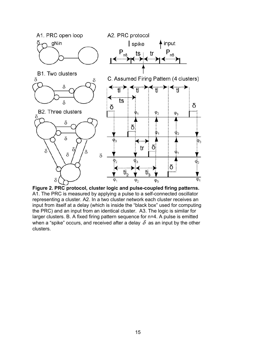

**Figure 2. PRC protocol, cluster logic and pulse-coupled firing patterns.** A1. The PRC is measured by applying a pulse to a self-connected oscillator representing a cluster. A2. In a two cluster network each cluster receives an input from itself at a delay (which is inside the "black box" used for computing the PRC) and an input from an identical cluster. A3. The logic is similar for larger clusters. B. A fixed firing pattern sequence for n=4. A pulse is emitted when a "spike" occurs, and received after a delay  $\delta$  as an input by the other clusters.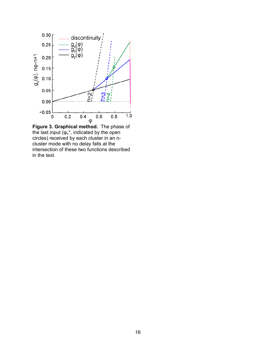

**Figure 3. Graphical method.** The phase of the last input  $(\varphi_n^*$ , indicated by the open circles) received by each cluster in an ncluster mode with no delay falls at the intersection of these two functions described in the text.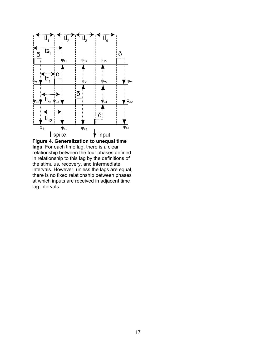

**Figure 4. Generalization to unequal time lags**. For each time lag, there is a clear relationship between the four phases defined in relationship to this lag by the definitions of the stimulus, recovery, and intermediate intervals. However, unless the lags are equal, there is no fixed relationship between phases at which inputs are received in adjacent time lag intervals.